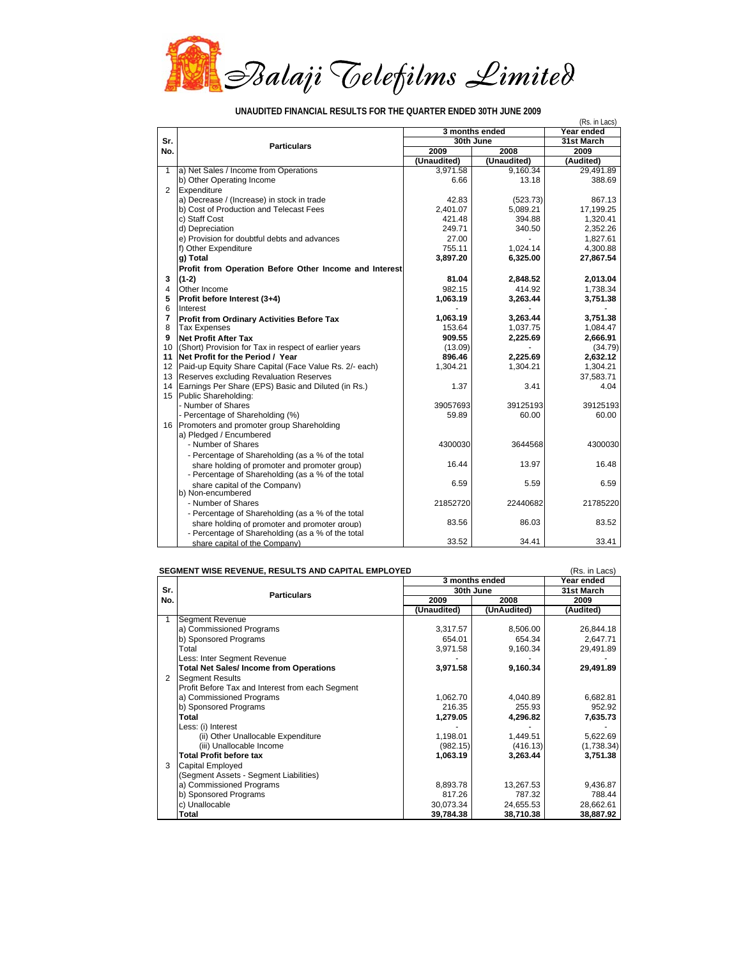

| UNAUDITED FINANCIAL RESULTS FOR THE QUARTER ENDED 30TH JUNE 2009 |  |  |  |  |
|------------------------------------------------------------------|--|--|--|--|
|                                                                  |  |  |  |  |

|                |                                                        |                |                          | (Rs. in Lacs) |  |
|----------------|--------------------------------------------------------|----------------|--------------------------|---------------|--|
|                |                                                        | 3 months ended | Year ended<br>31st March |               |  |
| Sr.            | <b>Particulars</b>                                     |                | 30th June                |               |  |
| No.            |                                                        | 2009           | 2008                     | 2009          |  |
|                |                                                        | (Unaudited)    | (Unaudited)              | (Audited)     |  |
| $\mathbf{1}$   | a) Net Sales / Income from Operations                  | 3,971.58       | 9,160.34                 | 29,491.89     |  |
|                | b) Other Operating Income                              | 6.66           | 13.18                    | 388.69        |  |
| 2              | Expenditure                                            |                |                          |               |  |
|                | a) Decrease / (Increase) in stock in trade             | 42.83          | (523.73)                 | 867.13        |  |
|                | b) Cost of Production and Telecast Fees                | 2.401.07       | 5,089.21                 | 17,199.25     |  |
|                | c) Staff Cost                                          | 421.48         | 394.88                   | 1,320.41      |  |
|                | d) Depreciation                                        | 249.71         | 340.50                   | 2.352.26      |  |
|                | e) Provision for doubtful debts and advances           | 27.00          | $\overline{a}$           | 1,827.61      |  |
|                | f) Other Expenditure                                   | 755.11         | 1.024.14                 | 4.300.88      |  |
|                | g) Total                                               | 3,897.20       | 6,325.00                 | 27,867.54     |  |
|                | Profit from Operation Before Other Income and Interest |                |                          |               |  |
| 3              | $(1-2)$                                                | 81.04          | 2,848.52                 | 2,013.04      |  |
| $\overline{4}$ | Other Income                                           | 982.15         | 414.92                   | 1.738.34      |  |
| 5              | Profit before Interest (3+4)                           | 1,063.19       | 3,263.44                 | 3,751.38      |  |
| 6              | Interest                                               |                |                          |               |  |
| $\overline{7}$ | Profit from Ordinary Activities Before Tax             | 1.063.19       | 3.263.44                 | 3.751.38      |  |
| 8              | <b>Tax Expenses</b>                                    | 153.64         | 1,037.75                 | 1,084.47      |  |
| 9              | <b>Net Profit After Tax</b>                            | 909.55         | 2,225.69                 | 2,666.91      |  |
| 10             | (Short) Provision for Tax in respect of earlier years  | (13.09)        |                          | (34.79)       |  |
| 11             | Net Profit for the Period / Year                       | 896.46         | 2.225.69                 | 2.632.12      |  |
| 12             | Paid-up Equity Share Capital (Face Value Rs. 2/- each) | 1,304.21       | 1,304.21                 | 1,304.21      |  |
| 13             | Reserves excluding Revaluation Reserves                |                |                          | 37,583.71     |  |
| 14             | Earnings Per Share (EPS) Basic and Diluted (in Rs.)    | 1.37           | 3.41                     | 4.04          |  |
| 15             | Public Shareholding:                                   |                |                          |               |  |
|                | - Number of Shares                                     | 39057693       | 39125193                 | 39125193      |  |
|                | - Percentage of Shareholding (%)                       | 59.89          | 60.00                    | 60.00         |  |
|                | 16 Promoters and promoter group Shareholding           |                |                          |               |  |
|                | a) Pledged / Encumbered                                |                |                          |               |  |
|                | - Number of Shares                                     | 4300030        | 3644568                  | 4300030       |  |
|                | - Percentage of Shareholding (as a % of the total      |                |                          |               |  |
|                | share holding of promoter and promoter group)          | 16.44          | 13.97                    | 16.48         |  |
|                | - Percentage of Shareholding (as a % of the total      |                |                          |               |  |
|                | share capital of the Company)                          | 6.59           | 5.59                     | 6.59          |  |
|                | b) Non-encumbered                                      |                |                          |               |  |
|                | - Number of Shares                                     | 21852720       | 22440682                 | 21785220      |  |
|                | - Percentage of Shareholding (as a % of the total      |                |                          |               |  |
|                | share holding of promoter and promoter group)          | 83.56          | 86.03                    | 83.52         |  |
|                | - Percentage of Shareholding (as a % of the total      |                |                          |               |  |
|                | share capital of the Company)                          | 33.52          | 34.41                    | 33.41         |  |

## **SEGMENT WISE REVENUE, RESULTS AND CAPITAL EMPLOYED CONSUMING A REGISTION (RS. in Lacs)**

|     |                                                  | 3 months ended | Year ended  |            |  |
|-----|--------------------------------------------------|----------------|-------------|------------|--|
| Sr. | <b>Particulars</b>                               | 30th June      | 31st March  |            |  |
| No. |                                                  | 2009           | 2008        | 2009       |  |
|     |                                                  | (Unaudited)    | (UnAudited) | (Audited)  |  |
|     | <b>Segment Revenue</b>                           |                |             |            |  |
|     | a) Commissioned Programs                         | 3,317.57       | 8,506.00    | 26,844.18  |  |
|     | b) Sponsored Programs                            | 654.01         | 654.34      | 2,647.71   |  |
|     | Total                                            | 3,971.58       | 9,160.34    | 29,491.89  |  |
|     | Less: Inter Segment Revenue                      |                |             |            |  |
|     | <b>Total Net Sales/Income from Operations</b>    | 3,971.58       | 9,160.34    | 29,491.89  |  |
| 2   | <b>Segment Results</b>                           |                |             |            |  |
|     | Profit Before Tax and Interest from each Segment |                |             |            |  |
|     | a) Commissioned Programs                         | 1,062.70       | 4,040.89    | 6,682.81   |  |
|     | b) Sponsored Programs                            | 216.35         | 255.93      | 952.92     |  |
|     | Total                                            | 1,279.05       | 4,296.82    | 7,635.73   |  |
|     | Less: (i) Interest                               |                |             |            |  |
|     | (ii) Other Unallocable Expenditure               | 1,198.01       | 1,449.51    | 5,622.69   |  |
|     | (iii) Unallocable Income                         | (982.15)       | (416.13)    | (1,738.34) |  |
|     | <b>Total Profit before tax</b>                   | 1,063.19       | 3,263.44    | 3,751.38   |  |
| 3   | Capital Employed                                 |                |             |            |  |
|     | (Segment Assets - Segment Liabilities)           |                |             |            |  |
|     | a) Commissioned Programs                         | 8,893.78       | 13,267.53   | 9,436.87   |  |
|     | b) Sponsored Programs                            | 817.26         | 787.32      | 788.44     |  |
|     | c) Unallocable                                   | 30,073.34      | 24,655.53   | 28,662.61  |  |
|     | Total                                            | 39,784.38      | 38,710.38   | 38,887.92  |  |